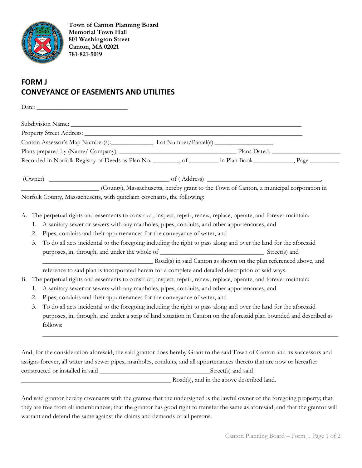

**Town of Canton Planning Board Memorial Town Hall 801 Washington Street Canton, MA 02021 781-821-5019**

## **FORM J CONVEYANCE OF EASEMENTS AND UTILITIES**

|           | Canton Assessor's Map Number(s): Lot Number/Parcel(s):                                                                          |  |  |
|-----------|---------------------------------------------------------------------------------------------------------------------------------|--|--|
|           |                                                                                                                                 |  |  |
|           | Recorded in Norfolk Registry of Deeds as Plan No. ________, of _________ in Plan Book __________, Page _________                |  |  |
|           | $(0$ wner) $\_\_\_\_\_\_$ of $(Address)$ $\_\_\_\_\_\_\_\_$                                                                     |  |  |
|           | (County), Massachusetts, hereby grant to the Town of Canton, a municipal corporation in                                         |  |  |
|           | Norfolk County, Massachusetts, with quitclaim covenants, the following:                                                         |  |  |
|           |                                                                                                                                 |  |  |
|           | A. The perpetual rights and easements to construct, inspect, repair, renew, replace, operate, and forever maintain:             |  |  |
| 1.        | A sanitary sewer or sewers with any manholes, pipes, conduits, and other appurtenances, and                                     |  |  |
| 2.        | Pipes, conduits and their appurtenances for the conveyance of water, and                                                        |  |  |
| 3.        | To do all acts incidental to the foregoing including the right to pass along and over the land for the aforesaid                |  |  |
|           |                                                                                                                                 |  |  |
|           | Road(s) in said Canton as shown on the plan referenced above, and                                                               |  |  |
|           | reference to said plan is incorporated herein for a complete and detailed description of said ways.                             |  |  |
| <b>B.</b> | The perpetual rights and easements to construct, inspect, repair, renew, replace, operate, and forever maintain:                |  |  |
| 1.        | A sanitary sewer or sewers with any manholes, pipes, conduits, and other appurtenances, and                                     |  |  |
| 2.        | Pipes, conduits and their appurtenances for the conveyance of water, and                                                        |  |  |
| 3.        | To do all acts incidental to the foregoing including the right to pass along and over the land for the aforesaid                |  |  |
|           | purposes, in, through, and under a strip of land situation in Canton on the aforesaid plan bounded and described as<br>follows: |  |  |
|           |                                                                                                                                 |  |  |
|           | And, for the consideration aforesaid, the said grantor does hereby Grant to the said Town of Canton and its successors and      |  |  |
|           | assigns forever, all water and sewer pipes, manholes, conduits, and all appurtenances thereto that are now or hereafter         |  |  |
|           |                                                                                                                                 |  |  |

And said grantor hereby covenants with the grantee that the undersigned is the lawful owner of the foregoing property; that they are free from all incumbrances; that the grantor has good right to transfer the same as aforesaid; and that the grantor will warrant and defend the same against the claims and demands of all persons.

\_\_\_\_\_\_\_\_\_\_\_\_\_\_\_\_\_\_\_\_\_\_\_\_\_\_\_\_\_\_\_\_\_\_\_\_\_\_\_\_\_\_\_\_\_\_ Road(s), and in the above described land.